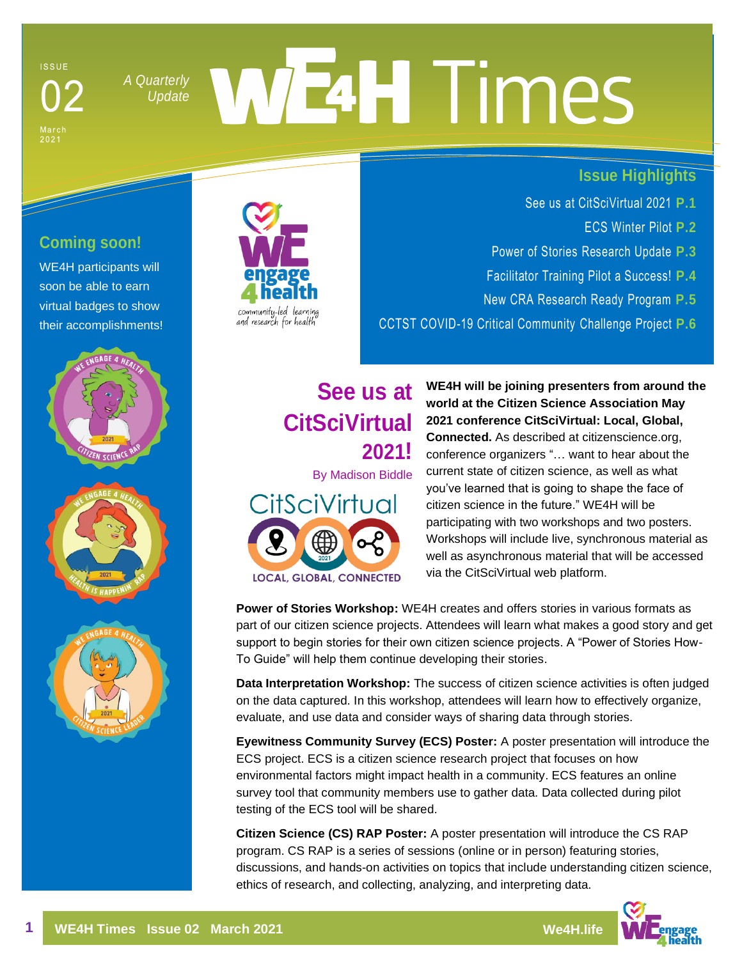#### **ISSUE**

Mar<br>202

*[A Quarterly](https://weengage4health.life/)* 

# WEAH Times *Update*

#### **Issue Highlights**

- See us at CitSciVirtual 2021 **P.1**
	- [ECS Winter Pilot](#page-1-0) **P.2**
- [Power of Stories Research Update](#page-2-0) **P.3**
- [Facilitator Training Pilot a Success!](#page-3-0) **P.4**
- [New CRA Research Ready Program](#page-4-0) **P.5**

[CCTST COVID-19 Critical Community Challenge Project](#page-5-0) **P.6**

# **Coming soon!**

WE4H participants will soon be able to earn virtual badges to show their accomplishments!









**See us at CitSciVirtual 2021!**

By Madison Biddle



**WE4H will be joining presenters from around the world at the Citizen Science Association May 2021 conference CitSciVirtual: Local, Global, Connected.** As described at citizenscience.org, conference organizers "… want to hear about the current state of citizen science, as well as what you've learned that is going to shape the face of citizen science in the future." WE4H will be participating with two workshops and two posters. Workshops will include live, synchronous material as well as asynchronous material that will be accessed via the CitSciVirtual web platform.

**Power of Stories Workshop:** WE4H creates and offers stories in various formats as part of our citizen science projects. Attendees will learn what makes a good story and get support to begin stories for their own citizen science projects. A "Power of Stories How-To Guide" will help them continue developing their stories.

**Data Interpretation Workshop:** The success of citizen science activities is often judged on the data captured. In this workshop, attendees will learn how to effectively organize, evaluate, and use data and consider ways of sharing data through stories.

**Eyewitness Community Survey (ECS) Poster:** A poster presentation will introduce the ECS project. ECS is a citizen science research project that focuses on how environmental factors might impact health in a community. ECS features an online survey tool that community members use to gather data. Data collected during pilot testing of the ECS tool will be shared.

**Citizen Science (CS) RAP Poster:** A poster presentation will introduce the CS RAP program. CS RAP is a series of sessions (online or in person) featuring stories, discussions, and hands-on activities on topics that include understanding citizen science, ethics of research, and collecting, analyzing, and interpreting data.

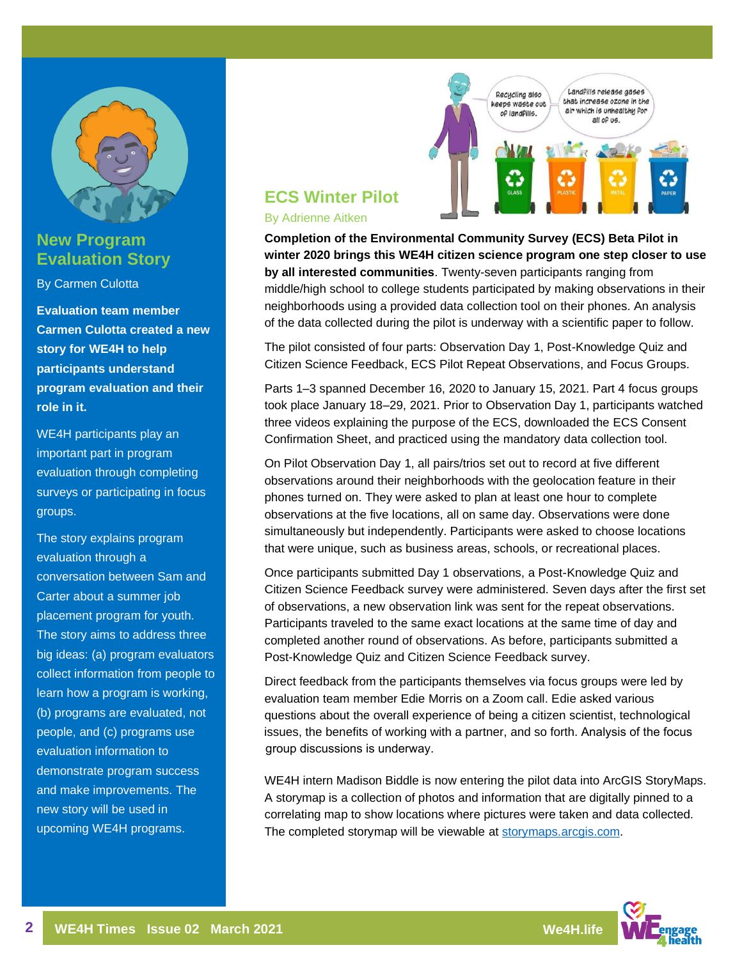<span id="page-1-0"></span>

## **New Program Evaluation Story**

By Carmen Culotta

**Evaluation team member Carmen Culotta created a new story for WE4H to help participants understand program evaluation and their role in it.**

WE4H participants play an important part in program evaluation through completing surveys or participating in focus groups.

The story explains program evaluation through a conversation between Sam and Carter about a summer job placement program for youth. The story aims to address three big ideas: (a) program evaluators collect information from people to learn how a program is working, (b) programs are evaluated, not people, and (c) programs use evaluation information to demonstrate program success and make improvements. The new story will be used in upcoming WE4H programs.



# **ECS Winter Pilot**

#### By Adrienne Aitken

**Completion of the Environmental Community Survey (ECS) Beta Pilot in winter 2020 brings this WE4H citizen science program one step closer to use by all interested communities**. Twenty-seven participants ranging from middle/high school to college students participated by making observations in their neighborhoods using a provided data collection tool on their phones. An analysis of the data collected during the pilot is underway with a scientific paper to follow.

The pilot consisted of four parts: Observation Day 1, Post-Knowledge Quiz and Citizen Science Feedback, ECS Pilot Repeat Observations, and Focus Groups.

Parts 1–3 spanned December 16, 2020 to January 15, 2021. Part 4 focus groups took place January 18–29, 2021. Prior to Observation Day 1, participants watched three videos explaining the purpose of the ECS, downloaded the ECS Consent Confirmation Sheet, and practiced using the mandatory data collection tool.

On Pilot Observation Day 1, all pairs/trios set out to record at five different observations around their neighborhoods with the geolocation feature in their phones turned on. They were asked to plan at least one hour to complete observations at the five locations, all on same day. Observations were done simultaneously but independently. Participants were asked to choose locations that were unique, such as business areas, schools, or recreational places.

Once participants submitted Day 1 observations, a Post-Knowledge Quiz and Citizen Science Feedback survey were administered. Seven days after the first set of observations, a new observation link was sent for the repeat observations. Participants traveled to the same exact locations at the same time of day and completed another round of observations. As before, participants submitted a Post-Knowledge Quiz and Citizen Science Feedback survey.

Direct feedback from the participants themselves via focus groups were led by evaluation team member Edie Morris on a Zoom call. Edie asked various questions about the overall experience of being a citizen scientist, technological issues, the benefits of working with a partner, and so forth. Analysis of the focus group discussions is underway.

WE4H intern Madison Biddle is now entering the pilot data into ArcGIS StoryMaps. A storymap is a collection of photos and information that are digitally pinned to a correlating map to show locations where pictures were taken and data collected. The completed storymap will be viewable at storymaps.arcgis.com.

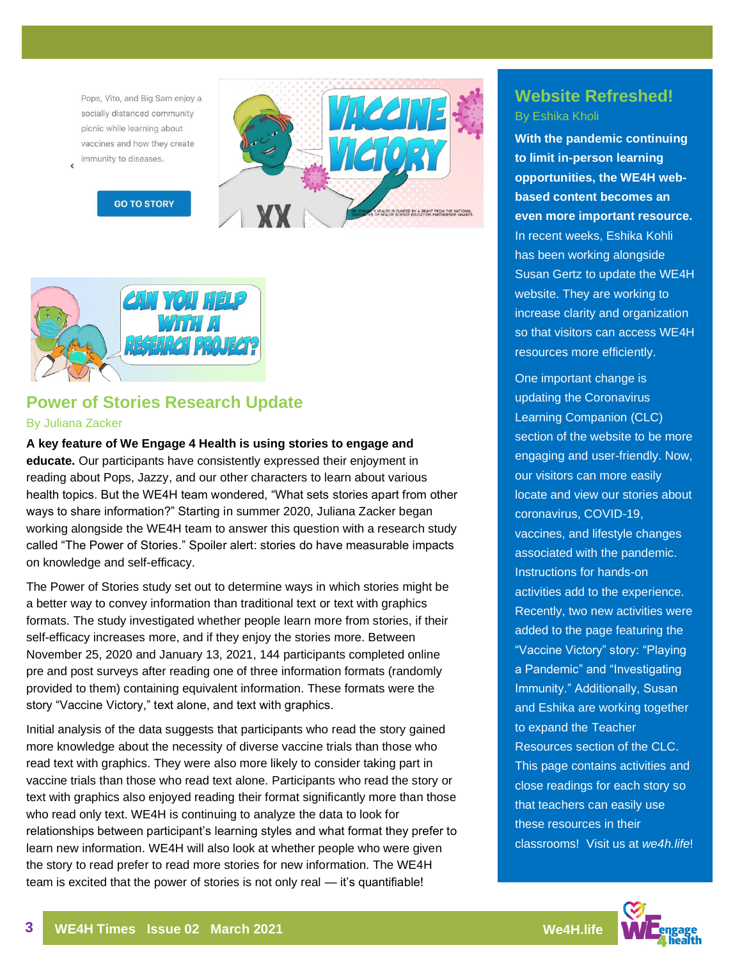<span id="page-2-0"></span>Pops, Vito, and Big Sam enjoy a socially distanced community picnic while learning about vaccines and how they create immunity to diseases.



**GO TO STORY** 



# **Power of Stories Research Update**

#### By Juliana Zacker

**A key feature of We Engage 4 Health is using stories to engage and educate.** Our participants have consistently expressed their enjoyment in reading about Pops, Jazzy, and our other characters to learn about various health topics. But the WE4H team wondered, "What sets stories apart from other ways to share information?" Starting in summer 2020, Juliana Zacker began working alongside the WE4H team to answer this question with a research study called "The Power of Stories." Spoiler alert: stories do have measurable impacts on knowledge and self-efficacy.

The Power of Stories study set out to determine ways in which stories might be a better way to convey information than traditional text or text with graphics formats. The study investigated whether people learn more from stories, if their self-efficacy increases more, and if they enjoy the stories more. Between November 25, 2020 and January 13, 2021, 144 participants completed online pre and post surveys after reading one of three information formats (randomly provided to them) containing equivalent information. These formats were the story "Vaccine Victory," text alone, and text with graphics.

Initial analysis of the data suggests that participants who read the story gained more knowledge about the necessity of diverse vaccine trials than those who read text with graphics. They were also more likely to consider taking part in vaccine trials than those who read text alone. Participants who read the story or text with graphics also enjoyed reading their format significantly more than those who read only text. WE4H is continuing to analyze the data to look for relationships between participant's learning styles and what format they prefer to learn new information. WE4H will also look at whether people who were given the story to read prefer to read more stories for new information. The WE4H team is excited that the power of stories is not only real — it's quantifiable!

#### **Website Refreshed!** By Eshika Kholi

**With the pandemic continuing to limit in-person learning opportunities, the WE4H webbased content becomes an even more important resource.** In recent weeks, Eshika Kohli has been working alongside Susan Gertz to update the WE4H website. They are working to increase clarity and organization so that visitors can access WE4H resources more efficiently.

One important change is updating the Coronavirus Learning Companion (CLC) section of the website to be more engaging and user-friendly. Now, our visitors can more easily locate and view our stories about coronavirus, COVID-19, vaccines, and lifestyle changes associated with the pandemic. Instructions for hands-on activities add to the experience. Recently, two new activities were added to the page featuring the "Vaccine Victory" story: "Playing a Pandemic" and "Investigating Immunity." Additionally, Susan and Eshika are working together to expand the Teacher Resources section of the CLC. This page contains activities and close readings for each story so that teachers can easily use these resources in their classrooms! Visit us at *[we4h.life](https://weengage4health.life/)*!

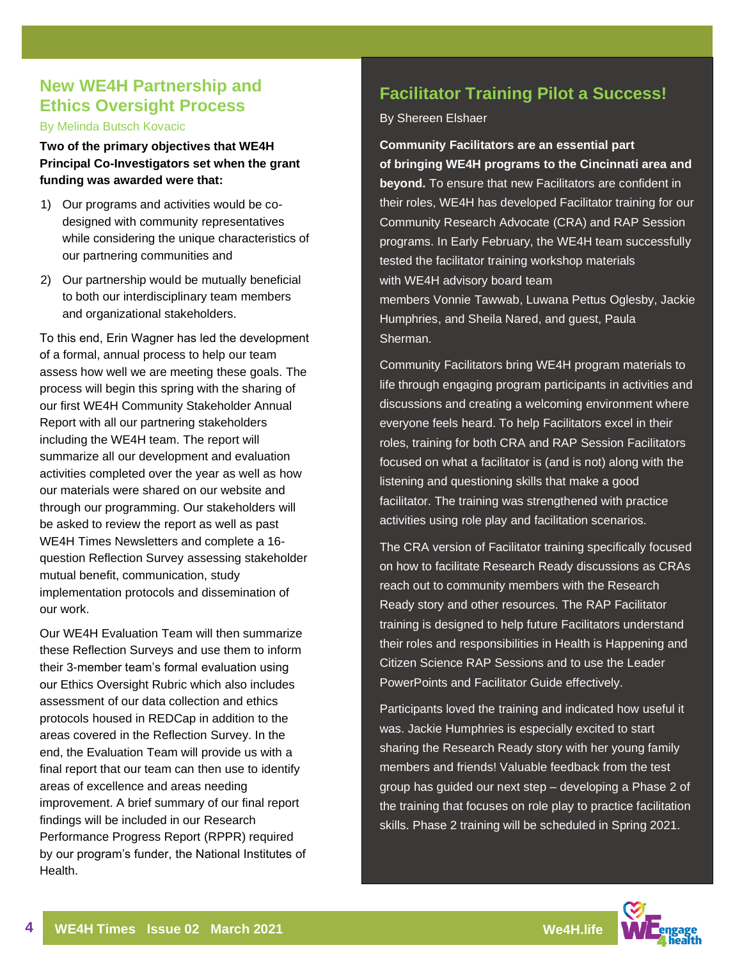# <span id="page-3-0"></span>**New WE4H Partnership and Ethics Oversight Process**

By Melinda Butsch Kovacic

**Two of the primary objectives that WE4H Principal Co-Investigators set when the grant funding was awarded were that:**

- 1) Our programs and activities would be codesigned with community representatives while considering the unique characteristics of our partnering communities and
- 2) Our partnership would be mutually beneficial to both our interdisciplinary team members and organizational stakeholders.

To this end, Erin Wagner has led the development of a formal, annual process to help our team assess how well we are meeting these goals. The process will begin this spring with the sharing of our first WE4H Community Stakeholder Annual Report with all our partnering stakeholders including the WE4H team. The report will summarize all our development and evaluation activities completed over the year as well as how our materials were shared on our website and through our programming. Our stakeholders will be asked to review the report as well as past WE4H Times Newsletters and complete a 16 question Reflection Survey assessing stakeholder mutual benefit, communication, study implementation protocols and dissemination of our work.

Our WE4H Evaluation Team will then summarize these Reflection Surveys and use them to inform their 3-member team's formal evaluation using our Ethics Oversight Rubric which also includes assessment of our data collection and ethics protocols housed in REDCap in addition to the areas covered in the Reflection Survey. In the end, the Evaluation Team will provide us with a final report that our team can then use to identify areas of excellence and areas needing improvement. A brief summary of our final report findings will be included in our Research Performance Progress Report (RPPR) required by our program's funder, the National Institutes of Health.

# **Facilitator Training Pilot a Success!**

By Shereen Elshaer

#### **Community Facilitators are an essential part of bringing WE4H programs to the Cincinnati area and beyond.** To ensure that new Facilitators are confident in their roles, WE4H has developed Facilitator training for our Community Research Advocate (CRA) and RAP Session programs. In Early February, the WE4H team successfully tested the facilitator training workshop materials with WE4H advisory board team members Vonnie Tawwab, Luwana Pettus Oglesby, Jackie Humphries, and Sheila Nared, and guest, Paula Sherman.

Community Facilitators bring WE4H program materials to life through engaging program participants in activities and discussions and creating a welcoming environment where everyone feels heard. To help Facilitators excel in their roles, training for both CRA and RAP Session Facilitators focused on what a facilitator is (and is not) along with the listening and questioning skills that make a good facilitator. The training was strengthened with practice activities using role play and facilitation scenarios.

The CRA version of Facilitator training specifically focused on how to facilitate Research Ready discussions as CRAs reach out to community members with the Research Ready story and other resources. The RAP Facilitator training is designed to help future Facilitators understand their roles and responsibilities in Health is Happening and Citizen Science RAP Sessions and to use the Leader PowerPoints and Facilitator Guide effectively.

Participants loved the training and indicated how useful it was. Jackie Humphries is especially excited to start sharing the Research Ready story with her young family members and friends! Valuable feedback from the test group has guided our next step – developing a Phase 2 of the training that focuses on role play to practice facilitation skills. Phase 2 training will be scheduled in Spring 2021.

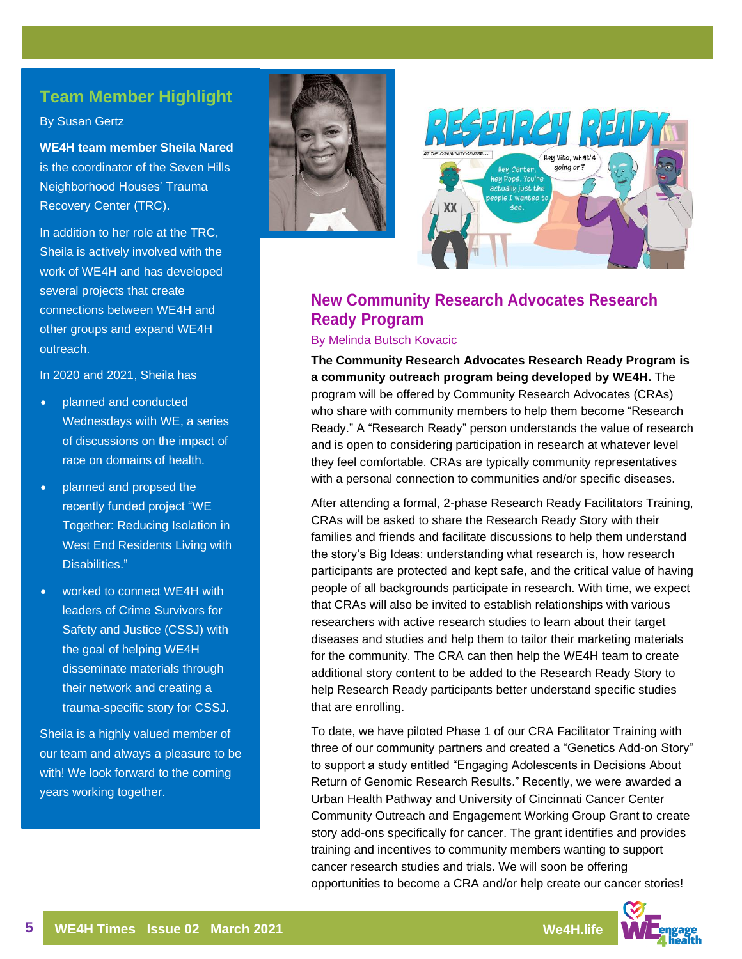#### <span id="page-4-0"></span>**Team Member Highlight**

By Susan Gertz

**WE4H team member Sheila Nared** is the coordinator of the Seven Hills Neighborhood Houses' Trauma Recovery Center (TRC).

In addition to her role at the TRC, Sheila is actively involved with the work of WE4H and has developed several projects that create connections between WE4H and other groups and expand WE4H outreach.

In 2020 and 2021, Sheila has

- planned and conducted Wednesdays with WE, a series of discussions on the impact of race on domains of health.
- planned and propsed the recently funded project "WE Together: Reducing Isolation in West End Residents Living with Disabilities."
- worked to connect WE4H with leaders of Crime Survivors for Safety and Justice (CSSJ) with the goal of helping WE4H disseminate materials through their network and creating a trauma-specific story for CSSJ.

Sheila is a highly valued member of our team and always a pleasure to be with! We look forward to the coming years working together.





# **New Community Research Advocates Research Ready Program**

#### By Melinda Butsch Kovacic

**The Community Research Advocates Research Ready Program is a community outreach program being developed by WE4H.** The program will be offered by Community Research Advocates (CRAs) who share with community members to help them become "Research Ready." A "Research Ready" person understands the value of research and is open to considering participation in research at whatever level they feel comfortable. CRAs are typically community representatives with a personal connection to communities and/or specific diseases.

After attending a formal, 2-phase Research Ready Facilitators Training, CRAs will be asked to share the Research Ready Story with their families and friends and facilitate discussions to help them understand the story's Big Ideas: understanding what research is, how research participants are protected and kept safe, and the critical value of having people of all backgrounds participate in research. With time, we expect that CRAs will also be invited to establish relationships with various researchers with active research studies to learn about their target diseases and studies and help them to tailor their marketing materials for the community. The CRA can then help the WE4H team to create additional story content to be added to the Research Ready Story to help Research Ready participants better understand specific studies that are enrolling.

To date, we have piloted Phase 1 of our CRA Facilitator Training with three of our community partners and created a "Genetics Add-on Story" to support a study entitled "Engaging Adolescents in Decisions About Return of Genomic Research Results." Recently, we were awarded a Urban Health Pathway and University of Cincinnati Cancer Center Community Outreach and Engagement Working Group Grant to create story add-ons specifically for cancer. The grant identifies and provides training and incentives to community members wanting to support cancer research studies and trials. We will soon be offering opportunities to become a CRA and/or help create our cancer stories!